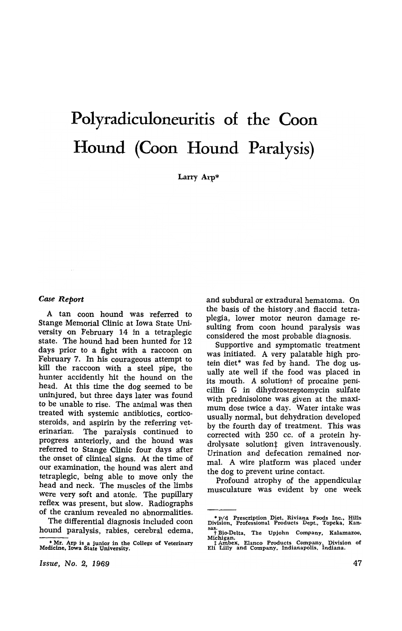# **Polyradiculoneuritis of the Coon Hound (Coon Hound Paralysis)**

Larry Arp\*

#### *Case Report*

A tan coon hound was referred to Stange Memorial Clinic at Iowa State University on February 14 in a tetraplegic state. The hound had been hunted for 12 days prior to a fight with a raccoon on February 7. In his courageous attempt to kill the raccoon with a steel pipe, the hunter accidently hit the hound on the head. At this time the dog seemed to be uninjured, but three days later was found to be unable to rise. The animal was then treated with systemic antibiotics, corticosteroids, and aspirin by the referring veterinarian. The paralysis continued to progress anteriorly, and the hound was referred to Stange Clinic four days after the onset of clinical signs. At the time of our examination, the hound was alert and tetraplegic, being able to move only the head and neck. The muscles of the limbs were very soft and atonic. The pupillary reflex was present, but slow. Radiographs of the cranium revealed no abnormalities.

The differential diagnosis included coon hound paralysis, rabies, cerebral edema, and subdural or extradural hematoma. On the basis of the history, and flaccid tetraplegia, lower motor neuron damage resulting from coon hound paralysis was considered the most probable diagnosis.

Supportive and symptomatic treatment was initiated. A very palatable high protein diet\* was fed by hand. The dog usually ate well if the food was placed in its mouth. A solutiont of procaine penicillin G in dihydrostreptomycin sulfate with prednisolone was given at the maximum dose twice a day. Water intake was usually normal, but dehydration developed by the fourth day of treatment. This was corrected with 250 cc. of a protein hydrolysate solution<sup>†</sup> given intravenously. Urination and defecation remained normal. A wire platform was placed under the dog to prevent urine contact.

Profound atrophy of the appendicular musculature was evident by one week

<sup>•</sup> Mr. Arp is a junior in the College of Veterinary Medicine. Iowa State University.

<sup>•</sup> p/d Prescription Diet, Riviana Foods Inc.. Hills Division. Professional Products Dept., Topeka, Kan· sas.<br>† Bio-Delta, The Upjohn Company, Kalamazoo, † Bio-Delta, The Upjohn Company, Kalamazoo,<br>Michigan.<br>† Ambex, Elanco Products Company. Division of<br>† Lilly and Company. Indianapolis. Indiana.